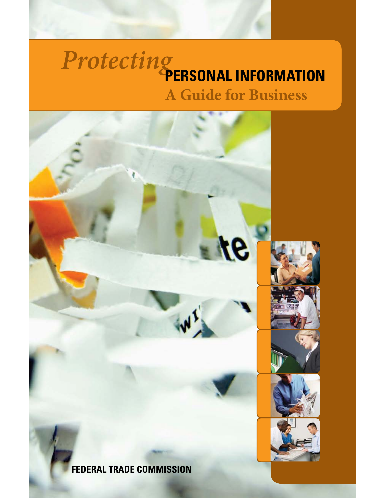### Protecting<br>PERSONAL INFORMATION **A Guide for Business**

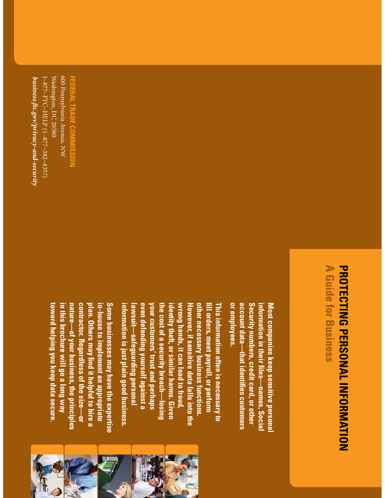A Guide for Business PROTECTING PERSONAL INFORMATION **A Guide for Business PROTECTING PERSONAL INFORMATION**

account data—that identifies customers Security numbers, credit card, or other or employees. information in their files—names, Socia Most companies keep sensitive persona **or employees. account data—that identifes customers Security numbers, credit card, or other information in their fles—names, Social Most companies keep sensitive personal** 

even defending yourself against a wrong hands, it can lead to fraud, your customers' trust and perhaps **your customers' trust and perhaps**  the cost of a security breach—losing **the cost of a security breach—losing wrong hands, it can lead to fraud,**  other necessary business functions. fill orders, meet payroll, or perform **fll orders, meet payroll, or perform**  This information often is necessary to **This information often is necessary to**  information is just plain good business. **information is just plain good business.** lawsuit—safeguarding personal **lawsuit—safeguarding personal even defending yourself against a**  identity theft, or similar harms. Given **identity theft, or similar harms. Given**  However, if sensitive data falls into the **However, if sensitive data falls into the other necessary business functions.** 

toward helping you keep data secure. **toward helping you keep data secure.**  in this brochure will go a long way contractor. Regardless of the size-or in-house to implement an appropriate Some businesses may have the expertise **in this brochure will go a long way**  nature—of your business, the principles **nature—of your business, the principles contractor. Regardless of the size—or**  plan. Others may find it helpful to hire a **plan. Others may fnd it helpful to hire a in-house to implement an appropriate Some businesses may have the expertise** 



600 Pennsylvania Avenue, NW Washington, DC 20580 **FEDERAL TRADE COMMISSION business.** 1-877-FTC-HELP (1-877-382-4357) 1–877–FTC–HELP (1–877–382–4357) Washington, DC 20580 600 Pennsylvania Avenue, NW **FEDERAL TRADE COMMISSION fc.gov/privacy-and-security**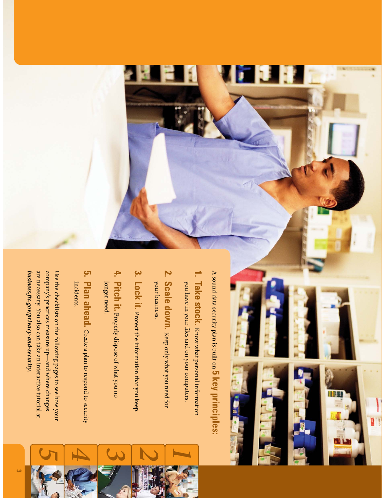

A sound data security plan is built on 5 Key principles: A sound data security plan is built on **5 key principles:**

- **1. Take stock.** Know what personal information **Take stock.** Know what personal information you have in your you have in your files and on your computers. les and on your computers.
- 2. Scale down. Keep only what you need for **2. Scale down.** your business. your business. Keep only what you need for
- 3. LOCK It. Protect the information that you keep. **3. Lock it.** Protect the information that you keep.
- $\blacktriangleleft$ **4. Pitch it.**Pitch it. Properly dispose of what you no longer need. longer need. Properly dispose of what you no
- 5. Plan ahead. Create a plan to respond to security **5. Plan ahead.** incidents. incidents. Create a plan to respond to security

are necessary. You also can take an interactive tutorial at company's practices measure up-and where changes Use the checklists on the following pages to see how your **business.** are necessary. You also can take an interactive tutorial at Use the checklists on the following pages to see how your **fc.gov/privacy-and-security**practices measure up—and where changes

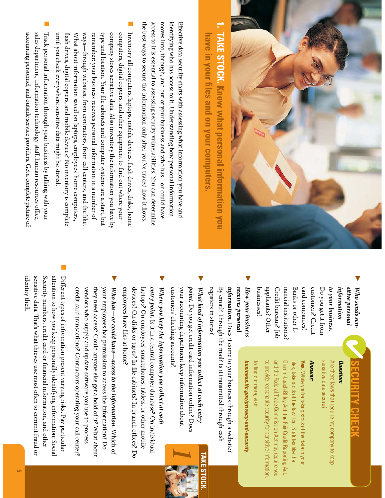

**1. TAKE STOCK. Know what personal information you** have in your files and on your computers **TAKE STOCK. Know what personal information you have in your fles and on your computers.** 

access to it is essential to assessing security vulnerabilities. You can determine moves into, through, and out of your business and who has—or could have identifying who has access to it. Understanding how personal information Effective data security starts with assessing what information you have and the best ways to secure the information only a access to it is essential to assessing security vulnerabilities. You can determine moves into, through, and out of your business and who has—or could have identifying who has access to it. Understanding how personal information fective data security starts with assessing what information you have and  $\Rightarrow$ er you've traced how it fows.

- Inventory all computers, laptops, mobile devices, flash drives, disks, home ways--through websites, from contractors, from call centers, and the like remember: your business receives personal information in a number of type and location. Your file cabinets and computer systems are a start, but company stores sensitive data. Also inventory the information you have by until you check everywhere sensitive data might be stored flash drives, digital copiers, and mobile devices? No inventory is complete What about information saved on laptops, employees' home computers, What about information saved on laptops, employees' home computers, ways—through websites, from contractors, from call centers, and the like. type and location. Your computers, digital copiers, and other equipment to find out where your until you check everywhere sensitive data might be stored. remember: your business receives personal information in a number of company stores sensitive data. Also inventory the information you have by computers, digital copiers, and other equipment to Inventory all computers, laptops, mobile devices, ash drives, digital copiers, and mobile devices? No inventory is complete le cabinets and computer systems are a start, but ash drives, disks, home nd out where your
- Track personal information through your business by talking with your rack personal information through your business by talking with your sales department, information technology sta f, human resources o  $\boxplus$ ce, accounting personnel, and outside service providers. Get a complete picture of: personnel, and outside service providers. Get a complete picture of:

 $\overline{\phantom{0}}$ 

- $\blacktriangledown$ **Sanks personal<br>information<br>to your business.**<br>Do you get it from<br>customers? Credit<br>card companies? Who sends sen-**Who sends sen-**
- applicants? Other nancial institutions?<br>Credit bureaus? Job businesses? businesses? applicants? Other bureaus? Job f-

### How your business receives personal **receives personal How your business**

# **SECURITY CHECK** CHEC

### Question: **Question:**

sensitive data secure? Are there laws that require my company to keep sensitive data secure? Are there laws that require my company to keep

### **Answer:**

to provide reasonable security for sensitive information. and the Federal Trade Commission Act may require you Gramm-Leach-Bliley Act, the Fair Credit Reporting Act, files, take stock of the law, too. Statutes like the **Yes.** While you're taking stock of the data in your to provide reasonable security for sensitive information. and the Federal Trade Commission Act may Gramm-Leach-Bliley Act, the Fair Credit Reporting Act, fles, take stock of the law, too. Statutes like the While you're taking stock of the data in your

### business.ftc.gov/privacy-and-security To find out more, visit **business.ftc.gov/privacy-and-security** To fnd out more, visit

registers in stores? information. Does it come to your business through a website? registers in stores? By email? **information.** E rough the mail? Is it transmitted through cash Does it come to your business through a website?

- customers' checking accounts? your accounting department keep information about point. Do you get credit card information online? Does What kind of information you collect at each entry customers' checking accounts? your accounting department keep information about **What kind of information you collect at each entry**  Do you get credit card information online? Does
- entry point. Is it in a central computer database? On individual employees have files at home? laptops? On employees' smartphones, tablets, or other mobile Where you keep the information you collect at each employees have devices? On disks or tapes? In laptops? On employees' smartphones, tablets, or other mobile **entry point. Where you keep the information you collect at each**  Is it in a central computer database? On individual les at home? ⊐ le cabinets? In branch o fces? Do
- vendors who supply and update software you use to process they need access? Could anyone else get a hold of it? What about your employees has permission to access the information? Do Who has—or could have—access to the information. Which of credit card transactions? Contractors operating your call center? credit card transactions? Contractors operating your call center? vendors who supply and update so they need access? Could anyone else get a hold of it? What about your employees has permission to access the information? Do **Who has—or could have—access to the information.** ware you use to process Which of
- attention to how you keep personally identifying information: Social Different types of information present varying risks. Pay particular Security numbers, credit card or financial information, and other identity the f. sensitive data. Security numbers, credit card or attention to how you keep personally identifying information: Social ferent types of information present varying risks. Pay particular F at's what thieves use most o nancial information, and other  $\Rightarrow$ en to commit fraud or

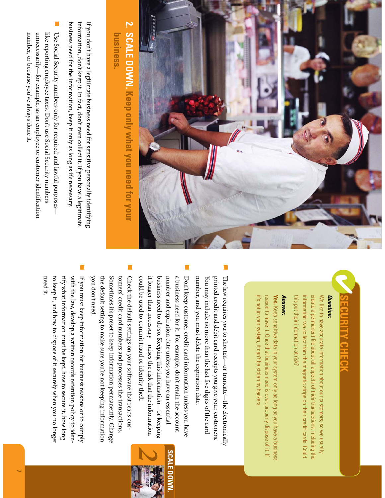

# **2. SCALE DOWN. Keep only what you need for your** pusiness **business. SCALE DOWN. Keep only what you need for your**

business need for the information, keep it only as long as it's necessary. information, don't keep it. In fact, don't even collect it. If you have a legitimate If you don't have a legitimate business need for sensitive personally identifying business need for the information, keep it only as long as it's necessary. information, don't keep it. In fact, don't even collect it. If you have a legitimate If you don't have a legitimate business need for sensitive personally identifying

Use Social Security numbers only for required and lawful purposesnumber, or because you've always done it. like reporting employee taxes. Don't use Social Security numbers like reporting employee taxes. Don't use Social Security numbers number, or because you've always done it. unnecessarily—for example, as an employee or customer identi Use Social Security numbers only for required and lawful purposes fcation

# **SECURITY CHECK** HEG

#### **Question: Question:**

this put their information at risk? information we collect from the magnetic stripe on their credit cards. Could create a permanent file about all aspects of their transactions, including the this put their information at risk? We like to have accurate information about our customers, so we usually We like to have accurate information about our customers, so we usually information we collect from the magnetic stripe on their credit cards. Could create a permanent fle about all aspects of their transactions, including

### **Answer:**

it's not in your system, it can't be stolen by hackers. reason to have it. Once that business need is over, properly dispose of it. If **Yes.** Keep sensitive data in your system only as long as you have a business it's not in your system, it can't be stolen by hackers.reason to have it. Once that business need is over, properly dispose of it. If Keep sensitive data in your system only as long as you have a business

- $\mathbb{R}^2$ number, and you must delete the expiration date. printed credit and debit card receipts you give your customers. The law requires you to shorten-or truncate-the electronically You may include no more than the last five digits of the card number, and you must delete the expiration date. You may include no more than the last printed credit and debit card receipts you give your customers. e law requires you to shorten—or truncate—the electronically ve digits of the card
- L. it longer than necessary-raises the risk that the information business need to do so. Keeping this information-or keeping number and expiration date unless you have an essential a business need for it. For example, don't retain the account Don't keep customer credit card information unless you have business need to do so. Keeping this information—or keeping number and expiration date unless you have an essential could be used to commit fraud or identity theit longer than a business need for it. For example, don't retain the account on't keep customer credit card information unless you have necessary—raises the risk that the information f.
- $\mathbb{R}^2$ tomers' credit card numbers and processes the transactions.<br>Sometimes it's preset to keep information permanently. Change<br>the default setting to make sure you're not keeping information<br>you don't need.<br>To must keep informa Check the default settings on your software that reads cus-Check the default settings on your soware that reads cus-
- to keep it, and how to dispose of it securely when you no longer need it. tify what information must be kept, how to secure it, how long with the law, develop a written records retention policy to idento keep it, and how to dispose of it securely when you no longer tify what information must be kept, how to secure it, how long with the law, develop a written records retention policy to iden f you must keep information for business reasons or to comply

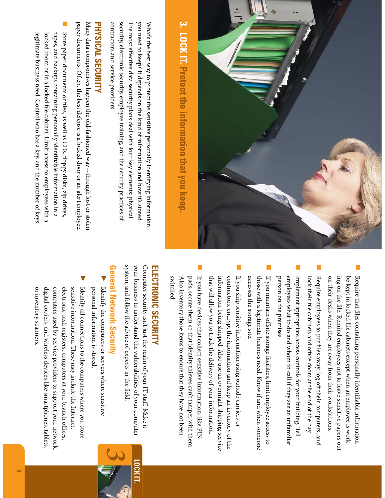

# **3. LOCK IT. Protect the information that you keep. LOCK IT. Protect the information that you keep.**

contractors and service providers. security, electronic security, employee training, and the security practices of The most effective data security plans deal with four key elements: physical you need to keep? It depends on the kind of information and how it's stored. What's the best way to protect the sensitive personally identifying information contractors and service providers. security, electronic security, employee training, and the security practices of you need to keep? It depends on the kind of information and how it's stored. What's the best way to protect the sensitive personally identifying information e most efective data security plans deal with four key elements: physical

### **PHYSICAL SECURITY PHYSICAL SECURITY**

paper documents. Often, the best defense is a locked door or an alert employee. Many data compromises happen the old-fashioned way—through lost or stolen paper documents. O Many data compromises happen the old-fashioned way—through lost or stolen en, the best defense is a locked door or an alert employee.

legitimate business need. Control who has a key, and the number of keys tapes, and backups containing personally identifiable information in a legitimate business need. Control who has a key, and the number of keys. locked room or in a locked file cabinet. Limit access to employees with a locked room or in a locked tapes, and backups containing personally identiStore paper documents or ⋻ les, as well as CDs, le cabinet. Limit access to employees with a  $\Rightarrow$ oppy disks, zip drives, able information in a

- $\Box$ on their desks when they are away from their workstations. be kept in locked file cabinets except when an employee is workbe kept in locked on their desks when they are away from their workstations. ing on the fRequire that le. Remind employees not to leave sensitive papers out ∍ les containing personally identile cabinets except when an employee is work-∍ able information
- $\mathbb{R}^2$ lock their  $\rtimes$ equire employees to put ∍ le cabinets and o⋻ les away, log ofce doors at the end of the day. f their computers, and
- $\mathbb{R}^2$ person on the premises. employees what to do and whom to call if they see an unfamiliar Implement appropriate access controls for your building. Tell person on the premises. employees what to do and whom to call if they see an unfamiliar Implement appropriate access controls for your building. Tell
- accesses the storage site. If you maintain offsite storage facilities, limit employee access to those with a legitimate business need. Know if and when someone those with a legitimate business need. Know if and when someone accesses the storage site. f you maintain ofsite storage facilities, limit employee access to
- $\Box$ If you ship sensitive information using outside carriers or that will allow you to track the delivery of your information. information being shipped. Also use an overnight shipping service contractors, encrypt the information and keep an inventory of the that will allow you to track the delivery of your information. information being shipped. Also use an overnight shipping service contractors, encrypt the information and keep an inventory of the f you ship sensitive information using outside carriers or
- $\mathbb{R}^2$ switched. If you have devices that collect sensitive information, like PIN Also inventory those items to ensure that they have not been pads, secure them so that identity thieves can't tamper with them. Also inventory those items to ensure that they have not been pads, secure them so that identity thieves can't tamper with them. switched. f you have devices that collect sensitive information, like PIN

# ELECTRONIC SECURITY **ELECTRONIC SECURITY**

your business to understand the vulnerabilities of your computer your business to understand the vulnerabilities of your computer Computer security isn't just the realm of your IT staff. Make it system, and follow the advice of experts in the Computer security isn't just the realm of your IT sta feld. f. Make it

# **General Network Security General Network Security**

- Identify the computers or servers where sensitive personal information is stored. personal information is stored. Identify the computers or servers where sensitive
- computers used by service providers to support your network, sensitive information. These may include the Internet, or inventory scanners. digital copiers, and wireless devices like smartphones, tablets, Identify all connections to the computers where you store or inventory scanners. digital copiers, and wireless devices like smartphones, tablets, computers used by service providers to support your network, electronic cash registers, computers at your branch osensitive information. dentify all connections to the computers where you store ese may include the Internet, fces,

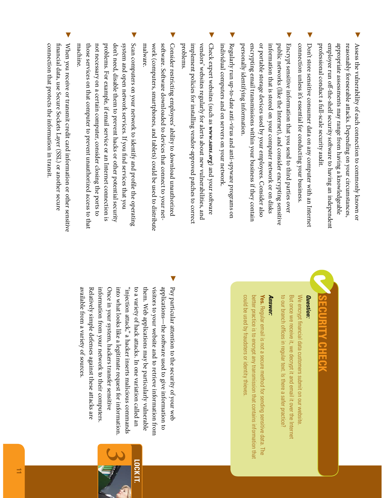- $\blacktriangledown$ professional conduct a full-scale security audit. employee run off-the-shelf security software to having an independent Assess the vulnerability of each connection to commonly known or appropriate assessments may range from having a knowledgeable reasonably foreseeable attacks. Depending on your circumstances, professional conduct a full-scale security audit. employee run o appropriate assessments may range from having a knowledgeable reasonably foreseeable attacks. Depending on your circumstances, Assess the vulnerability of each connection to commonly known or f-the-shelf security soware to having an independent
- Don't store sensitive consumer data on any computer with an Internet connection unless it's essential for conducting your business connection unless it's essential for conducting your business. on't store sensitive consumer data on any computer with an Internet
- or portable storage devices used by your employees. Consider also Encrypt sensitive information that you send to third parties over personally identifying information. encrypting email transmissions within your business if they contain information that is stored on your computer network or on disks public networks (like the Internet), and consider encrypting sensitive personally identifying information. encrypting email transmissions within your business if they contain or portable storage devices used by your employees. Consider also information that is stored on your computer network or on disks public networks (like the Internet), and consider encrypting sensitive crypt sensitive information that you send to third parties over
- Regularly run up-to-date anti-virus and anti-spyware programs on individual computers and on servers on your network individual computers and on servers on your network. egularly run up-to-date anti-virus and anti-spyware programs on
- implement policies for installing vendor-approved patches to correct vendors' websites regularly for alerts about new vulnerabilities, and problems. implement policies for installing vendor-approved patches to correct vendors' websites regularly for alerts about new vulnerabilities, and റ heck expert websites (such as **www.sans.org**) and your sofware
- $\blacktriangledown$ Consider restricting employees' ability to download unauthorized work (computers, smartphones, and tablets) could be used to distribute work (computers, smartphones, and tablets) could be used to distribute malware.<br>malware.<br>Scan computers on your network to identify and profile the operating malware sofware. Sofonsider restricting employees' ability to download unauthorized ware downloaded to devices that connect to your net-
- not necessary on a certain computer, consider closing the ports to problems. For example, if email service or an Internet connection is system and open network services. If you find services that you Scan computers on your network to identify and profile the operating those services on that computer to prevent unauthorized access to that don't need, disable them to prevent hacks or other potential security machine. those services on that computer to prevent unauthorized access to that not necessary on a certain computer, consider closing the ports to problems. For example, if email service or an Internet connection is don't need, disable them to prevent hacks or other potential security system and open network services. If you nd services that you
- $\blacktriangledown$ When you receive or transmit credit card information or other sensitive connection that protects the information in transit. financial data, use Secure Sockets Layer (SSL) or another secure connection that protects the information in transit. nancial data, use Secure Sockets Layer (SSL) or another secure hen you receive or transmit credit card information or other sensitive

# **SECURITY CHECK** <u>CHEC</u>

#### Question: **Question:**

to our branch offices in regular text. Is there a safer practice? But once we receive it, we decrypt it and email it over the Internet to our branch We encrypt financial data customers submit on our website. We encrypt fnancial data customers submit on our website. But once we receive it, we decrypt it and email it over the Internet offces in regular text. Is there a safer practice?

### **Answer:**

could be used by fraudsters or identity thieves better practice is to encrypt any transmission that contains information that **Yes.** Regular email is not a secure method for sending sensitive data. The could be used by fraudsters or identity thieves. better practice is to encrypt any transmission that contains information that Regular email is not a secure method for sending sensitive data. The

available trom a variety of sources Relatively simple defenses against these attacks are information from your network to their computers. Once in your system, hackers transfer sensitive into what looks like a legitimate request for information "injection attack," a hacker inserts malicious commands to a variety of hack attacks. In one variation called an them. Web applications may be particularly vulnerable visitors to your website and to retrieve information from applications-the software used to give information to Pay particular attention to the security of your web available from a variety of sources. Relatively simple defenses against these attacks are information from your network to their computers. Once in your system, hackers into what looks like a legitimate request for information. "injection attack," a hacker to a variety of hack attacks. In one variation called an them. Web applications may be particularly vulnerable visitors to your website and to retrieve information from applications—the soPay particular attention to the security of your web ware used to give information to inserts malicious commands transfer sensitive

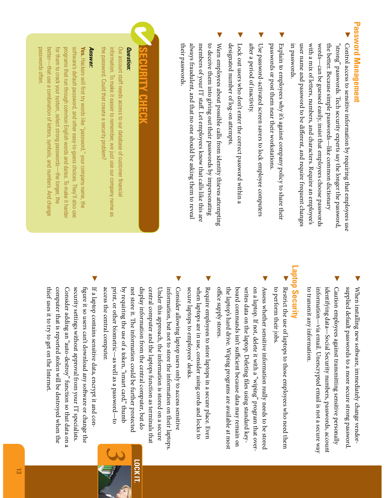# **Password Management Password Management**

- Control access to sensitive information by requiring that employees use with a mix of letters, numbers, and characters. Require an employee's words-can be guessed easily, insist that employees choose passwords in passwords. user name and password to be different, and require frequent changes the better. Because simple passwords-like common dictionary "strong" passwords. Tech security experts say the longer the password, in passwords. user name and password to be di with a mix of letters, numbers, and characters. Require an employee's words—can be guessed easily, insist that employees choose passwords the better. Because simple passwords—like common dictionary "strong" passwords. Tech security experts say the longer the password, Control access to sensitive information by requiring that employees use ferent, and require frequent changes
- Explain to employees why it's against company policy to share their passwords or post them near their workstations. passwords or post them near their workstations. xplain to employees why it's against company policy to share their
- $\blacktriangledown$ Use password-activated screen savers to lock employee computers a<br># se password-activated screen savers to lock employee computers er a period of inactivity.
- Lock out users who don't enter the correct password within a designated number of log-on attempts. designated number of log-on attempts. Lock out users who don't enter the correct password within a
- $\blacktriangledown$ always fraudulent, and that no one should be asking them to reveal Warn employees about possible calls from identity thieves attempting their passwords. members of your IT staff. Let employees know that calls like this are to deceive them into giving out their passwords by impersonating their passwords. always fraudulent, and that no one should be asking them to reveal members of your IT sta to deceive them into giving out their passwords by impersonating arn employees about possible calls from identity thieves attempting f. Let employees know that calls like this are

# **SECURITY CHECK** SECTHERIES

### Question: **Question:**

the password. Could that create a security problem? information. To make it easier to remember, we just use our company name as Our account staff needs access to our database of customer financial the password. Could that create a security problem? information. To make it easier to remember, we just use our company name as Our account staff needs access to our database of customer fnancial

### **Answer:**

for them to crack your system, select strong passwords-the longer, the programs that run through common English words and dates. To make it harder software's default password, and other easy-to-guess choices. They'll also use passwords often. better-that use a combination of letters, symbols, and numbers. And change Yes. Hackers will first try words like "password," your company name, the passwords often. better—that use a combination of letters, symbols, and numbers. And change for them to crack your system, select strong passwords—the longer programs that run through common English words and dates. To make it harder software's default password, and other easy-to-guess choices. They'll also use Hackers will frst try words like "password," your company name, the

- When installing new so When installing new software, immediately change vendorware, immediately change vendorsupplied default passwords to a more secure strong supplied detault passwords to a more secure strong password.
- Caution employees against transmitting sensitive personally to transmit any information. information-via email. Unencrypted email is not a secure way identifying data-Social Security numbers, passwords, account to transmit any information—via email. Unencrypted email is not a secure way identifying data—Social Security numbers, passwords, account Caution employees against transmitting sensitive personally information.

### **Laptop Security** Laptop Security

- Restrict the use of laptops to those employees who need them to perform their jobs. to perform their jobs. Restrict the use of laptops to those employees who need them
- $\blacktriangledown$ writes data on the laptop. Deleting files using standard keyon a laptop. If not, delete it with a "wiping" program that over Assess whether sensitive information really needs to be stored the laptop's hard drive. Wiping programs are available at most board commands isn't sufficient because data may remain on e<br>⊕ the laptop's hard drive. Wiping programs are available at most board commands isn't su writes data on the laptop. Deleting on a laptop. If not, delete it with a "wiping" program that overssess whether sensitive information really needs to be stored ce supply stores. cient because data may remain on les using standard key-
- secure laptops to employees' desks. Require employees to store laptops in a secure place. Even when laptops are in use, consider using cords and locks to secure laptops to employees' desks. when laptops are in use, consider using cords and locks to Require employees to store laptops in a secure place. Even
- information, but not to store the information on their laptops Consider allowing laptop users only to access sensitive access the central computer. print, or other biometric—as well as a password—to by requiring the use of a token, "smart card," thumb not store it. The information could be further protected display information from the central computer, but do central computer and the laptops function as terminals that Under this approach, the information is stored on a secure access the central computer. print, or other by requiring the use of a token, "smart card," thumb not store it. display information from the central computer and the laptops function as terminals that Under this approach, the information is stored on a secure information, but not to store the information on their laptops. onsider allowing laptop users only to access sensitive e information could be further protected biometric—as well as a password—to central computer, but do
- computer that is reported stolen will be destroyed when the Consider adding an "auto-destroy" function so that data on a security settings without approval from your IT specialists. If a laptop contains sensitive data, encrypt it and conthief uses it to try to get on the Internet thief uses it to try to get on the Internet. computer that is Consider adding an "auto-destroy" function so that data on a security settings without approval from your IT specialists. ⋍ f a laptop contains sensitive data, encrypt it and congure it so users can't download any so reported stolen will be destroyed when the  $\Rightarrow$ ware or change the

**LOCK IT.**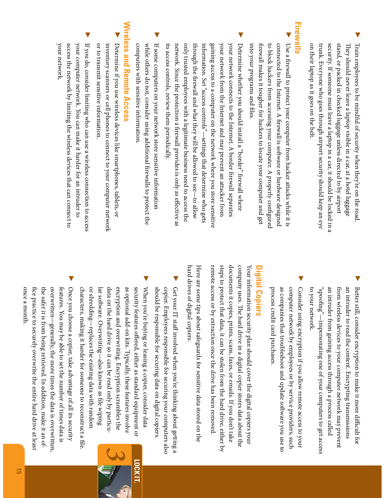$\blacktriangledown$ security. If someone must leave a laptop in a car, it should be locked in a stand, or packed in checked luggage unless directed to by airport Train employees to be mindful of security when they're on the road. trunk. Everyone who goes through airport security should keep an eye They should never leave a laptop visible in a car, at a hotel luggage on their laptop as it goes on the belt. on their laptop as it goes on the belt. trunk. Everyone who goes through airport security should keep an eye security. If someone must leave a laptop in a car, it should be locked in a stand, or packed in checked luggage unless directed to by airport rain employees to be mindful of security when they're on the road. ey should never leave a laptop visible in a car, at a hotel luggage

### **Firewalls Firewalls**

- Use a frewall to protect your computer from hacker attacks while it is connected to the Internet. A ⋻ rewall is so  $\Rightarrow$ ware or hardware designed to block hackers from accessing your computer. A properly con fgured firewall makes it tougher for hackers to locate your computer and get rewall makes it tougher for hackers to locate your computer and get into your programs and fles.
- $\blacktriangledown$ only trusted employees with a legitimate business need to access the gaining access to a computer on the network where you store sensitive its access controls, review them periodically. network. Since the protection a firewall provides is only as effective as through the firewall and what they will be allowed to see—to allow information. Set "access controls"—settings that determine who gets your network from the Internet and may prevent an attacker from your network connects to the Internet. A border firewall separates its access controls, review them periodically. network. Since the protection a only trusted employees with a legitimate business need to access the through the information. Set "access controls"—settings that determine who gets gaining access to a computer on the network where you store sensitive your network from the Internet and may prevent an attacker from your network connects to the Internet. A border Determine whether you should install a " rewall and what they will be allowed to see—to allow rewall provides is only as e border" fi rewall separates rewall where fective as
- If some computers on your network store sensitive information computers with sensitive information. computers with sensitive information. while others do not, consider using additional firewalls to protect the while others do not, consider using additional f some computers on your network store sensitive information rewalls to protect the

# **Wireless and Remote Access Wireless and Remote Access**

- Determine if you use wireless devices like smartphones, tablets, or inventory scanners or cell phones to connect to your computer network or to transmit sensitive information. or to transmit sensitive information. inventory scanners or cell phones to connect to your computer network Determine if you use wireless devices like smartphones, tablets, or
- access the network by limiting the wireless devices that can connect to If you do, consider limiting who can use a wireless connection to access your computer network. You can make it harder for an intruder to your network. your network. access the network by limiting the wireless devices that can connect to your computer network. You can make it harder for an intruder to If you do, consider limiting who can use a wireless connection to access

- $\blacktriangledown$ an intruder from gaining access through a process called an intruder to read the content. Encrypting transmissions to your network. from wireless devices to your computer network may prevent to your network.  ${\rm \textbf{p}odes}$ an intruder from gaining access through a process called from wireless devices to your computer network may prevent an intruder to read the content. Encrypting transmissions Better still, consider encryption to make it more di  $ng^{\prime}$ —impersonating one of your computers to get access fcult for
- Consider using encryption if you allow remote access to your as companies that troubleshoot and update software you use to process credit card purchases. computer network by employees or by service providers, such process credit card purchases. as companies that troubleshoot and update so computer network by employees or by service providers, such onsider using encryption if you allow remote access to your ware you use to

### **Digital Copiers Digital Copiers**

steps to protect that data, it can be stolen from the hard drive, either by documents it copies, prints, scans, faxes, or emails. If you don't take remote access or by extraction once the drive has been removed company uses. The hard drive in a digital copier stores data about the Your information security plan should cover the digital copiers your remote access or by extraction once the drive has been removed. steps to protect that data, it can be stolen from the hard drive, either by documents it copies, prints, scans, faxes, or emails. If you don't take company uses. Your information security plan should cover the digital copiers your e hard drive in a digital copier stores data about the

hard drives of digital copiers: Here are some tips about safeguards for sensitive data stored on the hard drives of digital copiers: Here are some tips about safeguards for sensitive data stored on the

- Get your IT staff involved when you're thinking about getting a copier. Employees responsible for securing your computers also should be responsible for securing data on digital copiers should be responsible for securing data on digital copiers. copier. Employees responsible for securing your computers also Get your IT sta f involved when you're thinking about getting a
- $\blacktriangledown$ as optional add-on kits. Typically, these features involve security features offered, either as standard equipment or or shredding-replaces the existing data with random data on the hard drive so it can be read only by particuencryption and overwriting. Encryption scrambles the When you're buying or leasing a copier, consider data characters, making it harder for someone to reconstruct a or shredding—replaces the existing data with random lar so fdata on the hard drive so it can be read only by particu encryption and overwriting. Encryption scrambles the as optional add-on kits. Typically, these features involve security features o hen you're buying or leasing a copier, consider data ware. Overwriting—also known as fered, either as standard equipment or fle wiping fle.
- $\blacktriangledown$ Once you choose a copier, take advantage of all its security once a month. fice practice to securely overwrite the entire hard drive at least the safer it is from being retrieved. In addition, make it an ofoverwritten-generally, the more times the data is overwritten, features. You may be able to set the number of times data is once a month. the safer it is from being retrieved. In addition, make it an of overwritten—generally, the more times the data is overwritten, features. You may be able to set the number of times data is Once you choose a copier, take advantage of all its security ce practice to securely overwrite the entire hard drive at least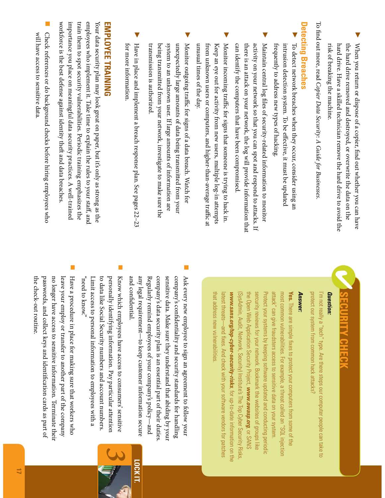$\blacktriangledown$ When you return or dispose of a copier, find out whether you can have the hard drive removed and destroyed, or overwrite the data on the risk of breaking the machine. risk of breaking the machine. hard drive. Have a skilled technician remove the hard drive to avoid the hard drive. Have a skilled technician remove the hard drive to avoid the the hard drive removed and destroyed, or overwrite the data on the When you return or dispose of a copier, nd out whether you can have

To fnd out more, read Copier Data Security: A Guide for Businesses

### Detecting Breaches **Detecting Breaches**

- To detect network breaches when they occur, consider using an frequently to address new types of hacking. intrusion detection system. To be effective, it must be updated frequently to address new types of hacking. intrusion detection system. To be e To detect network breaches when they occur, consider using an fective, it must be updated
- $\blacktriangledown$ activity on your network so that you can spot and respond to attacks. If can identify the computers that have been compromised there is an attack on your network, the log will provide information that can identify the computers that have been compromised. there is an attack on your network, the log will provide information that activity on your network so that you can spot and respond to attacks. If  $\boxtimes$ aintain central log ∍ les of security-related information to monitor
- $\blacktriangledown$ unusual times of the day. Keep an eye out for activity from new users, multiple log-in attempts unusual times of the day. from unknown users or computers, and higher-than-average tra Keep an eye out for activity from new users, multiple log-in attempts M onitor incoming tra fc for signs that someone is trying to hack in. fc at
- $\blacktriangledown$ system to an unknown user. If large amounts of information are transmission is authorized. being transmitted from your network, investigate to make sure the unexpectedly large amounts of data being transmitted from your transmission is authorized. being transmitted from your network, investigate to make sure the system to an unknown user. If large amounts of information are unexpectedly large amounts of data being transmitted from your  $\boxtimes$ onitor outgoing tra fc for signs of a data breach. Watch for
- $\blacktriangledown$ Have in place and implement a breach response plan. See pages 22-23 for more information. for more information. ave in place and implement a breach response plan. See pages 22–23

## **EMPLOYEE TRAINING EMPLOYEE TRAINING**

workforce is the best defense against identity theft and data breaches importance you place on meaningful data security practices. A well-trained train them to spot security vulnerabilities. Periodic training emphasizes the employees who implement it. Take time to explain the rules to your staff, and Your data security plan may look great on paper, but it's only as strong as the workforce is the best defense against identity the importance you place on meaningful data security practices. A well-trained train them to spot security vulnerabilities. Periodic training emphasizes the employees who implement it. Take time to explain the rules to your sta Your data security plan may look great on paper, but it's only as strong as the and data breaches.

will have access to sensitive data. Check references or do background checks before hiring employees who will have access to sensitive data. Check references or do background checks before hiring employees who

# **SECURITY CHECK ECURITY CHECK**

#### Question: **Question:**

protect our system from common hack attacks? I'm not really a "tech" type. Are there steps our computer people can take to protect our system from common hack attacks? I'm not really a "tech" type. Are there steps our computer people can take to

### **Answer:**

Protect your systems by keeping software updated and conducting periodic attack" can give fraudsters access to sensitive data on your system. most common vulnerabilities. For example, a threat called an "SQL injection that address new vulnerabilities latest threats—and fixes. And check with your software vendors for patches www.sans.org/top-cyber-security-risks, tor up-to-date information on the (SysAdmin, Audit, Network, Security) Institute's The Top Cyber Security Risks, the Open Web Application Security Project, www.owasp.org, or SANS sercurity reviews for your network. Bookmark the websites of groups like **Yes.** There are simple fixes to protect your computers from some of the that address new vulnerabilities. (SysAdmin, Audit, Network, Security) Institute's The Top Cyber Security Risks, the Open Web Application Security Project, sercurity reviews for your network. Bookmark the websites of groups like Protect your systems by keeping software updated and conducting periodic attack" can give fraudsters access to sensitive data on your system. most common vulnerabilities. For example, a threat called an "SQL injection latest threats—and fxes. And check with your software vendors for patches **www.sans.org/top-cyber-security-risks** There are simple fxes to protect your computers from some of the **www.owasp.org**, for up-to-date information on the

- any legal requirement-to keep customer information secure company's data security plan is an essential part of their duties Regularly remind employees of your company's policy-and sensitive data. Make sure they understand that abiding by your company's confidentiality and security standards for handling Ask every new employee to sign an agreement to follow your Ask every new employee to sign an agreement to follow your and con fdential. any legal requirement—to keep customer information secure Regularly remind employees of your company's policy—and company's data security plan is an essential part of their duties. sensitive data. Make sure they understand that abiding by your company's con dentiality and security standards for handling
- to data like Social Security numbers and account numbers "word to know" personally identifying information. Pay particular attention Know which employees have access to consumers' sensitive Limit access to personal information to employees with a to data like Social Security numbers and account numbers. personally identifying information. Pay particular attention "need to know." Limit access to personal information to employees with a Know which employees have access to consumers' sensitive
- $\overline{\phantom{a}}$ Have a procedure in place for making sure that workers who the check-out routine. passwords, and collect keys and identification cards as part of no longer have access to sensitive information. Terminate their leave your employ or transfer to another part of the company the check-out routine. passwords, and collect keys and identi no longer have access to sensitive information. Terminate their leave your employ or transfer to another part of the company ave a procedure in place for making sure that workers who cation cards as part of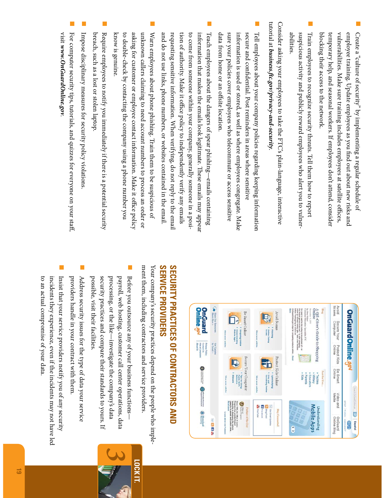- $\overline{\phantom{a}}$ blocking their access to the network. temporary help, and seasonal workers. If employees don't attend, consider employee training. Update employees as you find out about new risks and Create a "culture of security" by implementing a regular schedule of blocking their access to the network. temporary help, and seasonal workers. If employees don't attend, consider vulnerabilities. Make sure training includes employees at satellite oemployee training. Update employees as you Create a "culture of security" by implementing a regular schedule of nd out about new risks and  $\boxplus$ ces,
- E Train employees to recognize security threats. Tell them how to report suspicious activity and publicly reward employees who alert you to vulnerabilities. suspicious activity and publicly reward employees who alert you to vulnerrain employees to recognize security threats. Tell them how to report

tutorial at business.fic.gov/privacy-and-security. Consider asking your employees to take the FTC's plain-language, interactive tutorial at Consider asking your employees to take the FTC's plain-language, interactive **business.fc.gov/privacy-and-security**

- Tell employees about your company policies regarding keeping information data from home or an offsite location. sure your policies cover employees who telecommute or access sensitive information is used or stored, as well as where employees congregate. Make secure and confidential. Post reminders in areas where sensitive data from home or an o sure your policies cover employees who telecommute or access sensitive information is used or stored, as well as where employees congregate. Make secure and conTell employees about your company policies regarding keeping information dential. Post reminders in areas where sensitive fsite location.
- and do not use links, phone numbers, or websites contained in the email. requesting sensitive information. When verifying, do not reply to the email tion of authority. Make it office policy to independently verify any emails to come from someone within your company, generally someone in a posiinformation that makes the emails look legitimate. These emails may appear Teach employees about the dangers of spear phishing—emails containing tion of authority. Make it oto come from someone within your company, generally someone in a posiand do not use links, phone numbers, or websites contained in the email. requesting sensitive information. When verifying, do not reply to the email information that makes the emails look legitimate. Teach employees about the dangers of spear phishing—emails containing ce policy to independently verify any emails ese emails may appear
- $\mathbb{R}^2$ to double-check by contacting the company using a phone number you know is genuine unknown callers claiming to need account numbers to process an order or Warn employees about phone phishing. Train them to be suspicious of know is genuine. to double-check by contacting the company using a phone number you asking for customer or employee contact information. Make it o unknown callers claiming to need account numbers to process an order or arn employees about phone phishing. Train them to be suspicious of fce policy
- $\overline{\phantom{0}}$ breach, such as a lost or stolen laptop. Require employees to notify you immediately if there is a potential security breach, such as a lost or stolen laptop. equire employees to notify you immediately if there is a potential security
- $\overline{\phantom{0}}$ Impose disciplinary measures for security policy violations Impose disciplinary measures for security policy violations.
- T. visit F or computer security tips, tutorials, and quizzes for everyone on your sta**www.OnGuardOnline.gov** $\#$

|                                                                     | $\epsilon$                           |                                                                                                                                                                                                                         |                                                                                                                    | aio <sub>in</sub><br>Blog<br>by Amy Hebert<br>Online<br>lovembor 1, 2011                                                                                                                                                                                                                                                                                                | Avoid<br>Scams          |                          |
|---------------------------------------------------------------------|--------------------------------------|-------------------------------------------------------------------------------------------------------------------------------------------------------------------------------------------------------------------------|--------------------------------------------------------------------------------------------------------------------|-------------------------------------------------------------------------------------------------------------------------------------------------------------------------------------------------------------------------------------------------------------------------------------------------------------------------------------------------------------------------|-------------------------|--------------------------|
| <b>OnGuard</b><br>Online.gov                                        | Here's How ><br>Share Our Resources. | Be Smart Online<br><b>Shopping Cnilne</b><br><b>Dunpurassenan</b><br>Mobile Apps<br>View mun anticles                                                                                                                   | Avoid Seams<br><b>Online Dating</b><br>Phitahing<br><b>Saams</b><br><b>View mee adddes</b>                         | OnGustOnline go/s tips for comparing products online Read<br>No need to use for the turking to be polabod of – or order of the state polabod of – or order to the polabod of – or<br>order to the best realize gain, the state simplified of the state of the state of the state polabod to c<br>Consumer Education Specialist, FTC<br>A Gift-Giver's Guide to Shopping | Secure Your<br>Computer |                          |
| File a Complaint<br><b>Privacy Policy</b><br>About Us<br>Contact Us | Get Updates<br>by Email >            |                                                                                                                                                                                                                         |                                                                                                                    | $\mathbb{1}$<br>ë<br>351                                                                                                                                                                                                                                                                                                                                                | Protect Kids<br>Online  | <b>OnGuardOnline.gov</b> |
| <b>Contact Service Contact Service</b>                              |                                      | Secure Your Computer<br>Malware<br><b>Tips for Using</b><br>Public Wi-Fi<br>Networks<br><b><i><u>Ulsew</u></i></b> more articles                                                                                        | <b>Protect Kids Online</b><br><b>Nidt and<br/>Socializing Online</b><br>cyberbullying<br><b>View mate articles</b> | Just for You.<br>• Military<br>I echies<br>Feucators<br>Kids<br>Parents                                                                                                                                                                                                                                                                                                 | Be Smart<br>Online      |                          |
| <b>Supervalue Association</b>                                       |                                      | <b>RAID HOTE</b>                                                                                                                                                                                                        | $\langle$                                                                                                          |                                                                                                                                                                                                                                                                                                                                                                         | Media<br>Video and      | store                    |
| S Homeland                                                          | K<br>Ø<br>ē                          | Since 1994, the Otke of Justice<br>Programs has provided federal<br>Inadembig in developing the nation's<br>capacity to prevent and control crime,<br><b>C</b> History<br>Partner of the Day<br>Lean about our Partners | <b>ER</b><br><b>B</b> YouTube<br>Get Email Updates<br>pasa <sub>Leed</sub><br>Stay Connected                       | Mobile Apps<br>Understanding<br>ENERGY<br>ORD<br>×<br>v                                                                                                                                                                                                                                                                                                                 | Online Blog<br>OnGuard  | THINK<br>CONNECT<br>၉    |

# **SERVICE PROVIDERS SECURITY PRACTICES OF CONTRACTORS AND SERVICE PROVIDERS SECURITY PRACTICES OF CONTRACTORS AND**

ment them, including contractors and service providers. Your company's security practices depend on the people who implement them, including contractors and service providers. Your company's security practices depend on the people who imple

- possible, visit their facilities. security practices and compare their standards to yours. If processing, or the like-investigate the company's data Before you outsource any of your business functionspayroll, web hosting, customer call center operations, data possible, visit their facilities. processing, or the like—investigate the company's data payroll, web hosting, customer call center operations, data security practices and compare their standards to yours. If Before you outsource any of your business functions—
- providers handle in your contract with them Address security issues for the type of data your service providers handle in your contract with them. ddress security issues for the type of data your service
- $\overline{\mathbb{R}}$ Insist that your service providers notify you of any security to an actual compromise of your data. incidents they experience, even if the incidents may not have led to an actual compromise of your data. incidents they experience, even if the incidents may not have led nsist that your service providers notify you of any security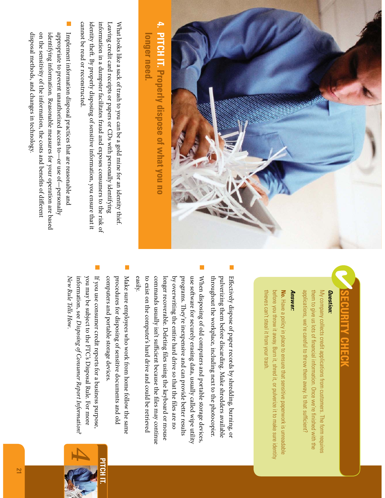

# 4. PITCH IT. Properly dispose of what you no longer need **longer need. PITCH IT. Properly dispose of what you no**

cannot be read or reconstructed. information in a dumpster facilitates fraud and exposes consumers to the risk of Leaving credit card receipts or papers or CDs with personally identifying What looks like a sack of trash to you can be a gold mine for an identity thief. cannot be read or reconstructed. identity the finformation in a dumpster facilitates fraud and exposes consumers to the risk of Leaving credit card receipts or papers or CDs with personally identifying What looks like a sack of trash to you can be a gold mine for an identity thief. . By properly disposing of sensitive information, you ensure that it

disposal methods, and changes in technology. identifying information. Reasonable measures for your operation are based appropriate to prevent unauthorized access to—or use of—personally Implement information disposal practices that are reasonable and disposal methods, and changes in technology. on the sensitivity of the information, the costs and bene identifying information. Reasonable measures for your operation are based appropriate to prevent unauthorized access to—or use of—personally Implement information disposal practices that are reasonable and fts of diferent

# **SECURITY CHECK** Z

### Question: **Question:**

applications, we're careful to throw them away. Is that sufficient? them to give us lots of financial information. Once we're finished with the My company collects credit applications from customers. The form requires applications, we're careful to throw them away. Is that suffcient? them to give us lots of fnancial information. Once we're fnished with the My company collects credit applications from customers. The form requires

### **Answer:**

thieves can't steal it from your trash. before you throw it away. Burn it, shred it, or pulverize it to make sure identity No. Have a policy in place to ensure that sensitive paperwork is unreadable thieves can't steal it from your trash. before you throw it away. Burn it, shred it, or pulverize it to make sure identity Have a policy in place to ensure that sensitive paperwork is unreadable

- $\mathbb{R}^2$ Effectively dispose of paper records by shredding, burning, or throughout the workplace, including next to the photocopier. pulverizing them before discarding. Make shredders available throughout the workplace, including next to the photocopier. pulverizing them before discarding. Make shredders available fectively dispose of paper records by shredding, burning, or
- $\mathbb{R}^2$ to exist on the computer's hard drive and could be retrieved use software for securely erasing data, usually called wipe utility When disposing of old computers and portable storage devices, easily. longer recoverable. Deleting files using the keyboard or mouse by overwriting the entire hard drive so that the files are no programs. They're inexpensive and can provide better results to exist on the computer's hard drive and could be retrieved longer recoverable. Deleting by overwriting the entire hard drive so that the programs. use socommands usually isn't suhen disposing of old computers and portable storage devices, ware for securely erasing data, usually called wipe utility ey're inexpensive and can provide better results fcient because the les using the keyboard or mouse </u> les may continue les are no
- $\mathbb{R}^2$ procedures for disposing of sensitive documents and old Make sure employees who work from home follow the same computers and portable storage devices procedures for disposing of sensitive documents and old computers and portable storage devices. ake sure employees who work from home follow the same
- $\overline{\phantom{a}}$ If you use consumer credit reports for a business purpose, information, see Disposing of Consumer Report Information? you may be subject to the FTC's Disposal Rule. For more New Rule Tells How. New Rule Tells Howyou may be subject to the FTC's Disposal Rule. For more information, see f you use consumer credit reports for a business purpose, Disposing of Consumer Report Information?

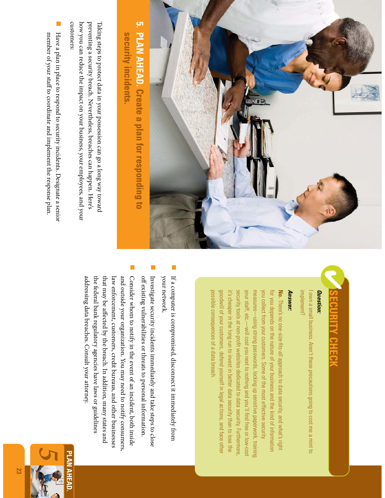

# 5. PLAN AHEAD. Create a plan for responding to **Security Incidents security incidents. PLAN AHEAD. Create a plan for responding to**

customers: how you can reduce the impact on your business, your employees, and your preventing a security breach. Nevertheless, breaches can happen. Here's Taking steps to protect data in your possession can go a long way toward customers: how you can reduce the impact on your business, your employees, and your preventing a security breach. Nevertheless, breaches can happen. Here's Taking steps to protect data in your possession can go a long way toward

E Have a plan in place to respond to security incidents. Designate a senion member of your staff to coordinate and implement the response plan. member of your staHave a plan in place to respond to security incidents. Designate a senior f to coordinate and implement the response plan.

### **SECURITY CHECK** Ē ii<br>S

### Question: **Question:**

implement? I own a small business. Aren't these precautions going to cost me a mint to I own a small business. Aren't these precautions going to cost me a mint to

### **Answer:**

goodwill of your customers, defend yourself in legal actions, and face other possible consequences of a data breach. it's cheaper in the long run to invest in better data security than to lose the security tools at non-profit websites dedicated to data security. Furthermore, your staff,  $\text{etc.}$  —will cost you next to nothing and you'll find free or low-cost measures-using strong passwords, locking up sensitive paperwork, training you collect from your customers. Some of the most effective security No. There's no one-size-fits-all approach to data security, and what's right goodwill of your customers, defend yourself in legal actions, and face other security tools at non-proft websites dedicated to data security. Furthermore, your staff, etc.—will cost you next to nothing and you'll fnd free or low-cost you collect from your customers. Some of the most effective security for you depends on the nature of your business and the kind of information for you depends on the nature of your business and the kind of information possible consequences of a data breach. it's cheaper in the long run to invest in better data security than to lose the measures—using strong passwords, locking up sensitive paperwork, training There's no one-size-fts-all approach to data security, and what's right

- I. your network. If a computer is compromised, disconnect it immediately from your network. If a computer is compromised, disconnect it immediately from
- $\frac{1}{2}$ Investigate security incidents immediately and take steps to close of nvestigate security incidents immediately and take steps to close existing vulnerabilities or threats to personal information.
- $\frac{1}{2}$ and outside your organization. You may need to notify consumers Consider whom to notify in the event of an incident, both inside addressing data breaches. Consult your attorney. the federal bank regulatory agencies have laws or guidelines that may be affected by the breach. In addition, many states and law enforcement, customers, credit bureaus, and other businesses the federal bank regulatory agencies have laws or guidelines that may be a law enforcement, customers, credit bureaus, and other businesses addressing data breaches. Consult your attorney. and outside your organization. You may need to notify consumers, Consider whom to notify in the event of an incident, both inside fected by the breach. In addition, many states and

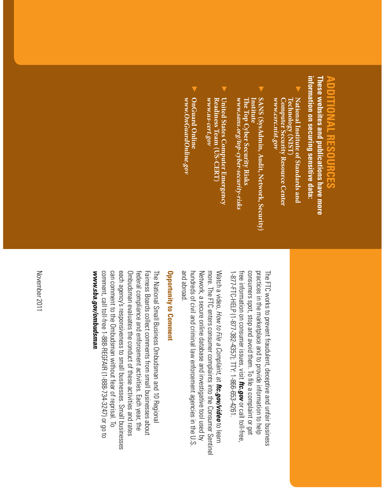# **ADDITIONAL RESOURCES ADDITIONAL RESOURCES**

information on securing sensitive data: **These websites and publications have more information on securing sensitive data:** These websites and publications have more

- National Institute of Standards and ww.csrc.nist.gov **Computer Security Resource Center www.csrc.nist.gov Computer Security Resource Center** Technology (NIST) **Technology (NIST) National Institute of Standards and**
- SANS (SysAdmin, Audit, Network, Security) ww.sans.org/top-cyber-security-risks **www.sans.org/top-cyber-security-risks** The Top Cyber Security Risks **Institute SANS (SysAdmin, Audit, Network, Security)**  Institute **e Top Cyber Security Risks**
- United States Computer Emergency ww.us-cert.gov Readiness Team (US-CERT) **www.us-cert.gov Readiness Team (US-CERT) United States Computer Emergency**
- ww.OnGuardOnline.gov **OnGuard Online www.OnGuardOnline.gov OnGuard Online**

consumers spot, stop and avoid them. To file a complaint or get practices in the marketplace and to provide information to help 1-877-FTC-HELP (1-877-382-4357); TTY: 1-866-653-4261. free information on consumer issues, visit **frc.gov** or call toll-free, The FTC works to prevent fraudulent, deceptive and unfair business The FTC works to prevent fraudulent, deceptive and unfair business 1-877-FTC-HELP (1-877-382-4357); TTY: 1-866-653-4261. free information on consumer issues, visit consumers spot, stop and avoid them. To fle a complaint or get practices in the marketplace and to provide information to help **ftc.gov** or call toll-free,

and abroad. more. The FTC enters consumer complaints into the Consumer Sentinel Watch a video, How to File a Complaint, at tre.gov/video to learn hundreds of civil and criminal law enforcement agencies in the U.S. Network, a secure online database and investigative tool used by Watch a video, and abroad. hundreds of civil and criminal law enforcement agencies in the U.S. Network, a secure online database and investigative tool used by more. The FTC enters consumer complaints into the Consumer Sentinel How to File a Complaint, at **ftc.gov/video** to learn

### **Opportunity to Comment Opportunity to Comment**

comment, call toll-free 1-888-REGFAIR (1-888-734-3247) or go to can comment to the Umbudsman without fear of reprisal. To each agency's responsiveness to small businesses. Small businesses Ombudsman evaluates the conduct of these activities and rates Fairness Boards collect comments from small businesses about www.sba.gov/ombudsman. federal compliance and enforcement activities. Each year, the The National Small Business Ombudsman and 10 Regional The National Small Business Ombudsman and 10 Regional **www.sba.gov/ombudsman** comment, call toll-free 1-888-REGFAIR (1-888-734-3247) or go to can comment to the Ombudsman without fear of reprisal. To each agency's responsiveness to small businesses. Small businesses Ombudsman evaluates the conduct of these activities and rates federal compliance and enforcement activities. Each year, the Fairness Boards collect comments from small businesses about

November 2011 November 2011